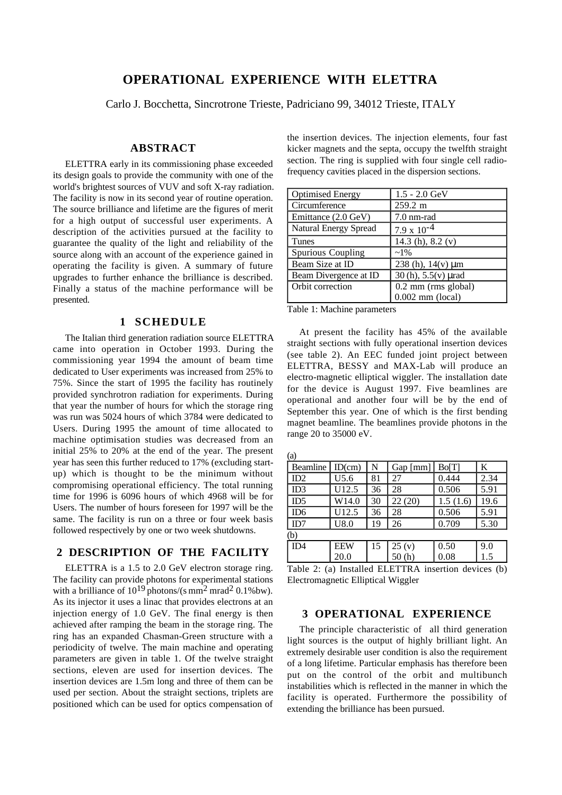# **OPERATIONAL EXPERIENCE WITH ELETTRA**

Carlo J. Bocchetta, Sincrotrone Trieste, Padriciano 99, 34012 Trieste, ITALY

#### **ABSTRACT**

ELETTRA early in its commissioning phase exceeded its design goals to provide the community with one of the world's brightest sources of VUV and soft X-ray radiation. The facility is now in its second year of routine operation. The source brilliance and lifetime are the figures of merit for a high output of successful user experiments. A description of the activities pursued at the facility to guarantee the quality of the light and reliability of the source along with an account of the experience gained in operating the facility is given. A summary of future upgrades to further enhance the brilliance is described. Finally a status of the machine performance will be presented.

### **1 SCHEDULE**

The Italian third generation radiation source ELETTRA came into operation in October 1993. During the commissioning year 1994 the amount of beam time dedicated to User experiments was increased from 25% to 75%. Since the start of 1995 the facility has routinely provided synchrotron radiation for experiments. During that year the number of hours for which the storage ring was run was 5024 hours of which 3784 were dedicated to Users. During 1995 the amount of time allocated to machine optimisation studies was decreased from an initial 25% to 20% at the end of the year. The present year has seen this further reduced to 17% (excluding startup) which is thought to be the minimum without compromising operational efficiency. The total running time for 1996 is 6096 hours of which 4968 will be for Users. The number of hours foreseen for 1997 will be the same. The facility is run on a three or four week basis followed respectively by one or two week shutdowns.

## **2 DESCRIPTION OF THE FACILITY**

ELETTRA is a 1.5 to 2.0 GeV electron storage ring. The facility can provide photons for experimental stations with a brilliance of  $10^{19}$  photons/(s mm<sup>2</sup> mrad<sup>2</sup> 0.1%bw). As its injector it uses a linac that provides electrons at an injection energy of 1.0 GeV. The final energy is then achieved after ramping the beam in the storage ring. The ring has an expanded Chasman-Green structure with a periodicity of twelve. The main machine and operating parameters are given in table 1. Of the twelve straight sections, eleven are used for insertion devices. The insertion devices are 1.5m long and three of them can be used per section. About the straight sections, triplets are positioned which can be used for optics compensation of

the insertion devices. The injection elements, four fast kicker magnets and the septa, occupy the twelfth straight section. The ring is supplied with four single cell radiofrequency cavities placed in the dispersion sections.

| <b>Optimised Energy</b> | $1.5 - 2.0 \text{ GeV}$                     |
|-------------------------|---------------------------------------------|
| Circumference           | 259.2 m                                     |
| Emittance (2.0 GeV)     | 7.0 nm-rad                                  |
| Natural Energy Spread   | $7.9 \times 10^{-4}$                        |
| <b>Tunes</b>            | 14.3 (h), 8.2 (v)                           |
| Spurious Coupling       | $~1\%$                                      |
| Beam Size at ID         | 238 (h), $14(v) \mu m$                      |
| Beam Divergence at ID   | $30(h)$ , $5.5(v)$ µrad                     |
| <b>Orbit correction</b> | $0.2$ mm (rms global)<br>$0.002$ mm (local) |

Table 1: Machine parameters

At present the facility has 45% of the available straight sections with fully operational insertion devices (see table 2). An EEC funded joint project between ELETTRA, BESSY and MAX-Lab will produce an electro-magnetic elliptical wiggler. The installation date for the device is August 1997. Five beamlines are operational and another four will be by the end of September this year. One of which is the first bending magnet beamline. The beamlines provide photons in the range 20 to 35000 eV.

| (a)                |            |    |            |          |      |  |  |
|--------------------|------------|----|------------|----------|------|--|--|
| <b>Beamline</b>    | ID(cm)     | N  | $Gap$ [mm] | Bo[T]    | K    |  |  |
| ID2                | U5.6       | 81 | 27         | 0.444    | 2.34 |  |  |
| ID3                | U12.5      | 36 | 28         | 0.506    | 5.91 |  |  |
| $\overline{1}$ ID5 | W14.0      | 30 | 22(20)     | 1.5(1.6) | 19.6 |  |  |
| <b>ID6</b>         | U12.5      | 36 | 28         | 0.506    | 5.91 |  |  |
| $\overline{D7}$    | U8.0       | 19 | 26         | 0.709    | 5.30 |  |  |
| (b)                |            |    |            |          |      |  |  |
| ID4                | <b>EEW</b> | 15 | 25(y)      | 0.50     | 9.0  |  |  |
|                    | 20.0       |    | 50(h)      | 0.08     | 1.5  |  |  |

Table 2: (a) Installed ELETTRA insertion devices (b) Electromagnetic Elliptical Wiggler

### **3 OPERATIONAL EXPERIENCE**

The principle characteristic of all third generation light sources is the output of highly brilliant light. An extremely desirable user condition is also the requirement of a long lifetime. Particular emphasis has therefore been put on the control of the orbit and multibunch instabilities which is reflected in the manner in which the facility is operated. Furthermore the possibility of extending the brilliance has been pursued.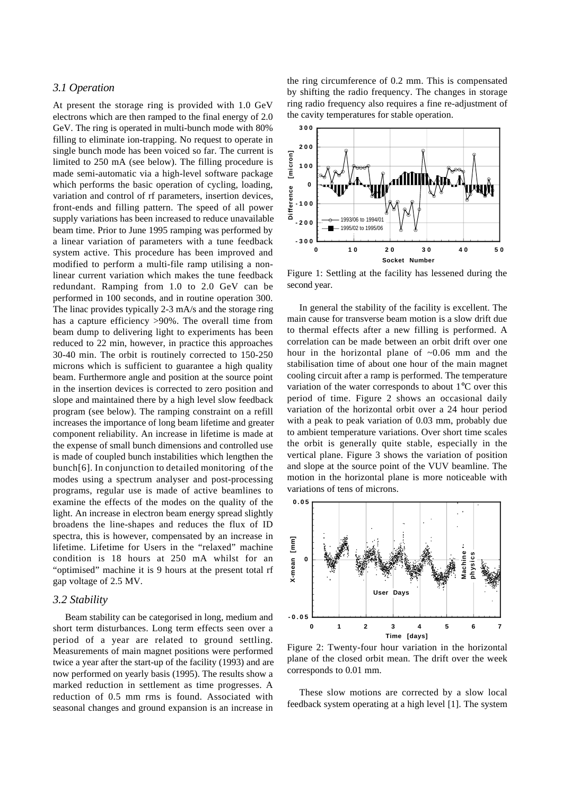#### *3.1 Operation*

At present the storage ring is provided with 1.0 GeV electrons which are then ramped to the final energy of 2.0 GeV. The ring is operated in multi-bunch mode with 80% filling to eliminate ion-trapping. No request to operate in single bunch mode has been voiced so far. The current is limited to 250 mA (see below). The filling procedure is made semi-automatic via a high-level software package which performs the basic operation of cycling, loading, variation and control of rf parameters, insertion devices, front-ends and filling pattern. The speed of all power supply variations has been increased to reduce unavailable beam time. Prior to June 1995 ramping was performed by a linear variation of parameters with a tune feedback system active. This procedure has been improved and modified to perform a multi-file ramp utilising a nonlinear current variation which makes the tune feedback redundant. Ramping from 1.0 to 2.0 GeV can be performed in 100 seconds, and in routine operation 300. The linac provides typically 2-3 mA/s and the storage ring has a capture efficiency >90%. The overall time from beam dump to delivering light to experiments has been reduced to 22 min, however, in practice this approaches 30-40 min. The orbit is routinely corrected to 150-250 microns which is sufficient to guarantee a high quality beam. Furthermore angle and position at the source point in the insertion devices is corrected to zero position and slope and maintained there by a high level slow feedback program (see below). The ramping constraint on a refill increases the importance of long beam lifetime and greater component reliability. An increase in lifetime is made at the expense of small bunch dimensions and controlled use is made of coupled bunch instabilities which lengthen the bunch[6]. In conjunction to detailed monitoring of the modes using a spectrum analyser and post-processing programs, regular use is made of active beamlines to examine the effects of the modes on the quality of the light. An increase in electron beam energy spread slightly broadens the line-shapes and reduces the flux of ID spectra, this is however, compensated by an increase in lifetime. Lifetime for Users in the "relaxed" machine condition is 18 hours at 250 mA whilst for an "optimised" machine it is 9 hours at the present total rf gap voltage of 2.5 MV.

#### *3.2 Stability*

Beam stability can be categorised in long, medium and short term disturbances. Long term effects seen over a period of a year are related to ground settling. Measurements of main magnet positions were performed twice a year after the start-up of the facility (1993) and are now performed on yearly basis (1995). The results show a marked reduction in settlement as time progresses. A reduction of 0.5 mm rms is found. Associated with seasonal changes and ground expansion is an increase in the ring circumference of 0.2 mm. This is compensated by shifting the radio frequency. The changes in storage ring radio frequency also requires a fine re-adjustment of the cavity temperatures for stable operation.



Figure 1: Settling at the facility has lessened during the second year.

In general the stability of the facility is excellent. The main cause for transverse beam motion is a slow drift due to thermal effects after a new filling is performed. A correlation can be made between an orbit drift over one hour in the horizontal plane of ~0.06 mm and the stabilisation time of about one hour of the main magnet cooling circuit after a ramp is performed. The temperature variation of the water corresponds to about 1°C over this period of time. Figure 2 shows an occasional daily variation of the horizontal orbit over a 24 hour period with a peak to peak variation of 0.03 mm, probably due to ambient temperature variations. Over short time scales the orbit is generally quite stable, especially in the vertical plane. Figure 3 shows the variation of position and slope at the source point of the VUV beamline. The motion in the horizontal plane is more noticeable with variations of tens of microns.



Figure 2: Twenty-four hour variation in the horizontal plane of the closed orbit mean. The drift over the week corresponds to 0.01 mm.

These slow motions are corrected by a slow local feedback system operating at a high level [1]. The system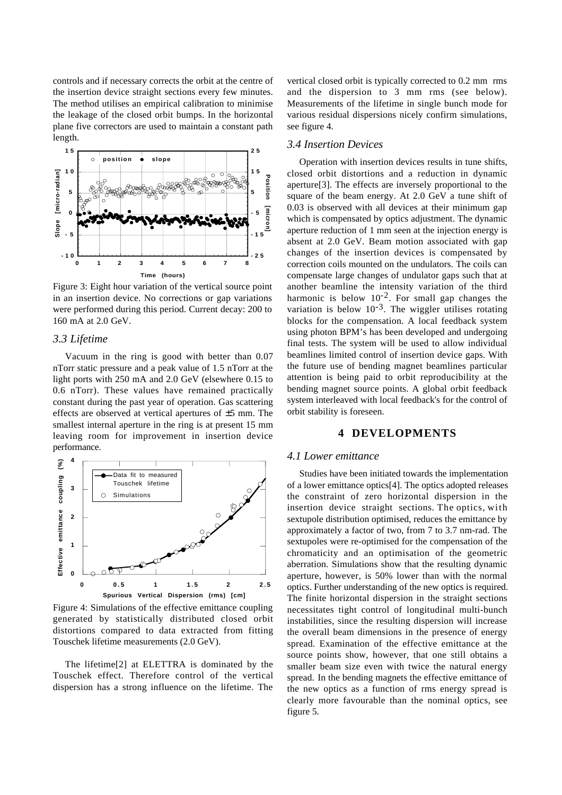controls and if necessary corrects the orbit at the centre of the insertion device straight sections every few minutes. The method utilises an empirical calibration to minimise the leakage of the closed orbit bumps. In the horizontal plane five correctors are used to maintain a constant path length.



Figure 3: Eight hour variation of the vertical source point in an insertion device. No corrections or gap variations were performed during this period. Current decay: 200 to 160 mA at 2.0 GeV.

#### *3.3 Lifetime*

Vacuum in the ring is good with better than 0.07 nTorr static pressure and a peak value of 1.5 nTorr at the light ports with 250 mA and 2.0 GeV (elsewhere 0.15 to 0.6 nTorr). These values have remained practically constant during the past year of operation. Gas scattering effects are observed at vertical apertures of ±5 mm. The smallest internal aperture in the ring is at present 15 mm leaving room for improvement in insertion device performance.



Figure 4: Simulations of the effective emittance coupling generated by statistically distributed closed orbit distortions compared to data extracted from fitting Touschek lifetime measurements (2.0 GeV).

The lifetime[2] at ELETTRA is dominated by the Touschek effect. Therefore control of the vertical dispersion has a strong influence on the lifetime. The vertical closed orbit is typically corrected to 0.2 mm rms and the dispersion to 3 mm rms (see below). Measurements of the lifetime in single bunch mode for various residual dispersions nicely confirm simulations, see figure 4.

### *3.4 Insertion Devices*

Operation with insertion devices results in tune shifts, closed orbit distortions and a reduction in dynamic aperture[3]. The effects are inversely proportional to the square of the beam energy. At 2.0 GeV a tune shift of 0.03 is observed with all devices at their minimum gap which is compensated by optics adjustment. The dynamic aperture reduction of 1 mm seen at the injection energy is absent at 2.0 GeV. Beam motion associated with gap changes of the insertion devices is compensated by correction coils mounted on the undulators. The coils can compensate large changes of undulator gaps such that at another beamline the intensity variation of the third harmonic is below  $10^{-2}$ . For small gap changes the variation is below  $10^{-3}$ . The wiggler utilises rotating blocks for the compensation. A local feedback system using photon BPM's has been developed and undergoing final tests. The system will be used to allow individual beamlines limited control of insertion device gaps. With the future use of bending magnet beamlines particular attention is being paid to orbit reproducibility at the bending magnet source points. A global orbit feedback system interleaved with local feedback's for the control of orbit stability is foreseen.

### **4 DEVELOPMENTS**

#### *4.1 Lower emittance*

Studies have been initiated towards the implementation of a lower emittance optics[4]. The optics adopted releases the constraint of zero horizontal dispersion in the insertion device straight sections. The optics, with sextupole distribution optimised, reduces the emittance by approximately a factor of two, from 7 to 3.7 nm-rad. The sextupoles were re-optimised for the compensation of the chromaticity and an optimisation of the geometric aberration. Simulations show that the resulting dynamic aperture, however, is 50% lower than with the normal optics. Further understanding of the new optics is required. The finite horizontal dispersion in the straight sections necessitates tight control of longitudinal multi-bunch instabilities, since the resulting dispersion will increase the overall beam dimensions in the presence of energy spread. Examination of the effective emittance at the source points show, however, that one still obtains a smaller beam size even with twice the natural energy spread. In the bending magnets the effective emittance of the new optics as a function of rms energy spread is clearly more favourable than the nominal optics, see figure 5.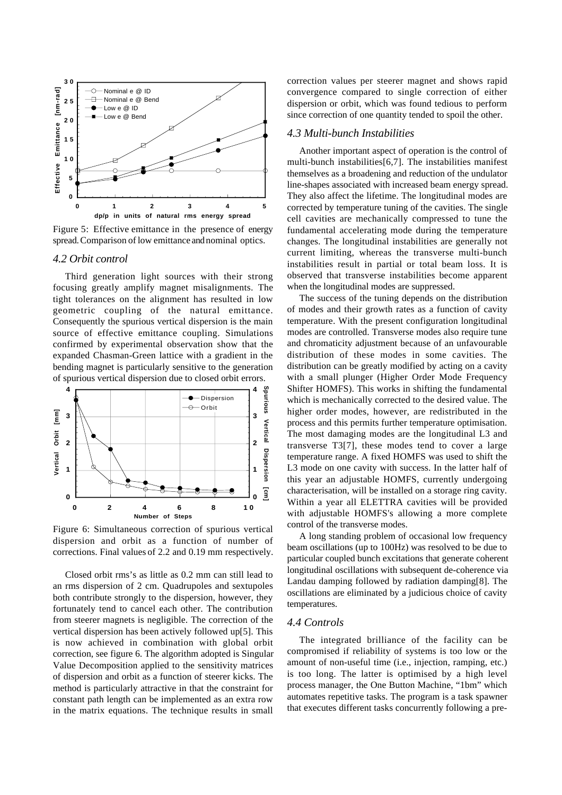

Figure 5: Effective emittance in the presence of energy spread. Comparison of low emittance and nominal optics.

#### *4.2 Orbit control*

Third generation light sources with their strong focusing greatly amplify magnet misalignments. The tight tolerances on the alignment has resulted in low geometric coupling of the natural emittance. Consequently the spurious vertical dispersion is the main source of effective emittance coupling. Simulations confirmed by experimental observation show that the expanded Chasman-Green lattice with a gradient in the bending magnet is particularly sensitive to the generation of spurious vertical dispersion due to closed orbit errors.



Figure 6: Simultaneous correction of spurious vertical dispersion and orbit as a function of number of corrections. Final values of 2.2 and 0.19 mm respectively.

Closed orbit rms's as little as 0.2 mm can still lead to an rms dispersion of 2 cm. Quadrupoles and sextupoles both contribute strongly to the dispersion, however, they fortunately tend to cancel each other. The contribution from steerer magnets is negligible. The correction of the vertical dispersion has been actively followed up[5]. This is now achieved in combination with global orbit correction, see figure 6. The algorithm adopted is Singular Value Decomposition applied to the sensitivity matrices of dispersion and orbit as a function of steerer kicks. The method is particularly attractive in that the constraint for constant path length can be implemented as an extra row in the matrix equations. The technique results in small correction values per steerer magnet and shows rapid convergence compared to single correction of either dispersion or orbit, which was found tedious to perform since correction of one quantity tended to spoil the other.

### *4.3 Multi-bunch Instabilities*

Another important aspect of operation is the control of multi-bunch instabilities[6,7]. The instabilities manifest themselves as a broadening and reduction of the undulator line-shapes associated with increased beam energy spread. They also affect the lifetime. The longitudinal modes are corrected by temperature tuning of the cavities. The single cell cavities are mechanically compressed to tune the fundamental accelerating mode during the temperature changes. The longitudinal instabilities are generally not current limiting, whereas the transverse multi-bunch instabilities result in partial or total beam loss. It is observed that transverse instabilities become apparent when the longitudinal modes are suppressed.

The success of the tuning depends on the distribution of modes and their growth rates as a function of cavity temperature. With the present configuration longitudinal modes are controlled. Transverse modes also require tune and chromaticity adjustment because of an unfavourable distribution of these modes in some cavities. The distribution can be greatly modified by acting on a cavity with a small plunger (Higher Order Mode Frequency Shifter HOMFS). This works in shifting the fundamental which is mechanically corrected to the desired value. The higher order modes, however, are redistributed in the process and this permits further temperature optimisation. The most damaging modes are the longitudinal L3 and transverse T3[7], these modes tend to cover a large temperature range. A fixed HOMFS was used to shift the L3 mode on one cavity with success. In the latter half of this year an adjustable HOMFS, currently undergoing characterisation, will be installed on a storage ring cavity. Within a year all ELETTRA cavities will be provided with adjustable HOMFS's allowing a more complete control of the transverse modes.

A long standing problem of occasional low frequency beam oscillations (up to 100Hz) was resolved to be due to particular coupled bunch excitations that generate coherent longitudinal oscillations with subsequent de-coherence via Landau damping followed by radiation damping[8]. The oscillations are eliminated by a judicious choice of cavity temperatures.

#### *4.4 Controls*

The integrated brilliance of the facility can be compromised if reliability of systems is too low or the amount of non-useful time (i.e., injection, ramping, etc.) is too long. The latter is optimised by a high level process manager, the One Button Machine, "1bm" which automates repetitive tasks. The program is a task spawner that executes different tasks concurrently following a pre